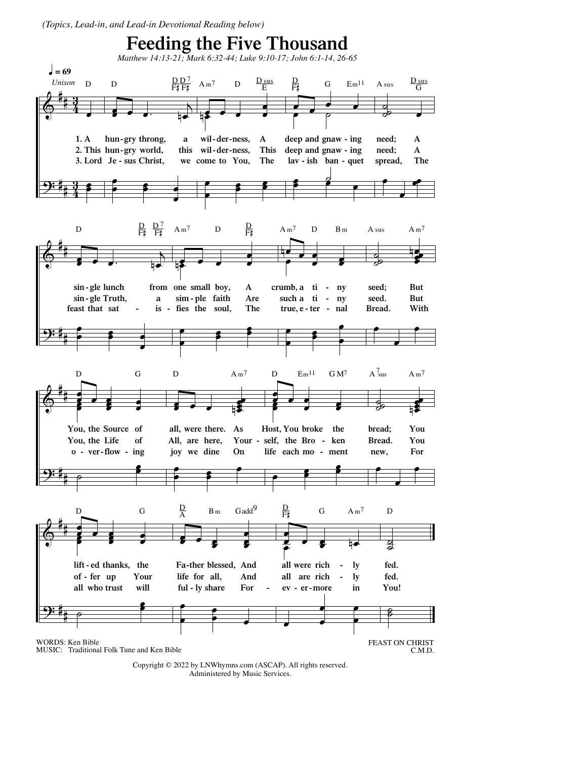(Topics, Lead-in, and Lead-in Devotional Reading below)



![](_page_0_Figure_2.jpeg)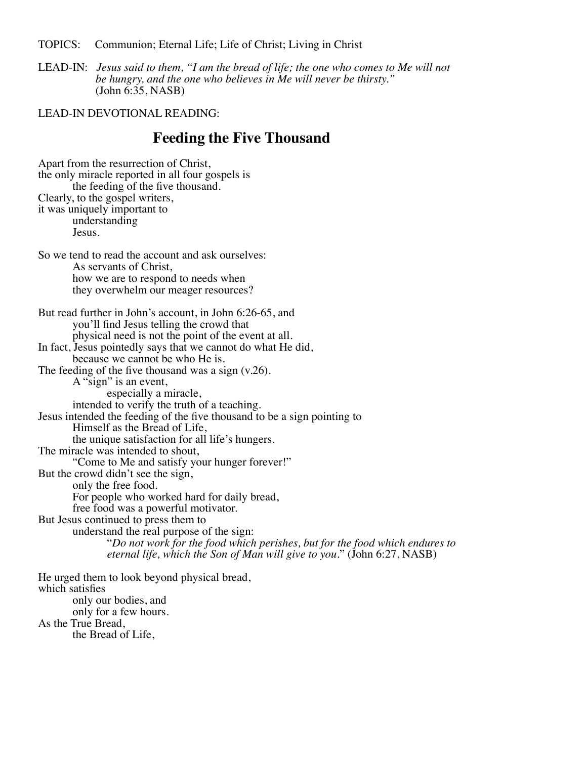TOPICS: Communion; Eternal Life; Life of Christ; Living in Christ

LEAD-IN: *Jesus said to them, "I am the bread of life; the one who comes to Me will not be hungry, and the one who believes in Me will never be thirsty."* (John 6:35, NASB)

LEAD-IN DEVOTIONAL READING:

## **Feeding the Five Thousand**

Apart from the resurrection of Christ, the only miracle reported in all four gospels is the feeding of the five thousand. Clearly, to the gospel writers, it was uniquely important to understanding Jesus. So we tend to read the account and ask ourselves: As servants of Christ, how we are to respond to needs when they overwhelm our meager resources? But read further in John's account, in John 6:26-65, and you'll find Jesus telling the crowd that physical need is not the point of the event at all. In fact, Jesus pointedly says that we cannot do what He did, because we cannot be who He is. The feeding of the five thousand was a sign  $(v.26)$ . A "sign" is an event,<br>especially a miracle, intended to verify the truth of a teaching. Jesus intended the feeding of the five thousand to be a sign pointing to the unique satisfaction for all life's hungers. The miracle was intended to shout, "Come to Me and satisfy your hunger forever!" But the crowd didn't see the sign,<br>only the free food. For people who worked hard for daily bread, free food was a powerful motivator. But Jesus continued to press them to<br>understand the real purpose of the sign: *"Do not work for the food which perishes, but for the food which endures to eternal life, which the Son of Man will give to you." (John 6:27, NASB)* He urged them to look beyond physical bread, which satisfies only our bodies, and only for a few hours. As the True Bread, the Bread of Life,